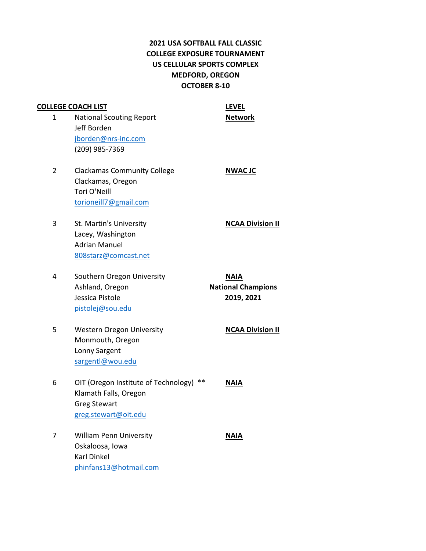## **2021 USA SOFTBALL FALL CLASSIC COLLEGE EXPOSURE TOURNAMENT US CELLULAR SPORTS COMPLEX MEDFORD, OREGON OCTOBER 8-10**

|                | <b>COLLEGE COACH LIST</b>            | <b>LEVEL</b>              |
|----------------|--------------------------------------|---------------------------|
| 1              | <b>National Scouting Report</b>      | <b>Network</b>            |
|                | Jeff Borden                          |                           |
|                | jborden@nrs-inc.com                  |                           |
|                | (209) 985-7369                       |                           |
| $\overline{2}$ | <b>Clackamas Community College</b>   | <b>NWAC JC</b>            |
|                | Clackamas, Oregon                    |                           |
|                | Tori O'Neill                         |                           |
|                | torioneill7@gmail.com                |                           |
| 3              | St. Martin's University              | <b>NCAA Division II</b>   |
|                | Lacey, Washington                    |                           |
|                | <b>Adrian Manuel</b>                 |                           |
|                | 808starz@comcast.net                 |                           |
| 4              | Southern Oregon University           | <b>NAIA</b>               |
|                | Ashland, Oregon                      | <b>National Champions</b> |
|                | Jessica Pistole                      | 2019, 2021                |
|                | pistolej@sou.edu                     |                           |
| 5              | <b>Western Oregon University</b>     | <b>NCAA Division II</b>   |
|                | Monmouth, Oregon                     |                           |
|                | Lonny Sargent                        |                           |
|                | sargentl@wou.edu                     |                           |
| 6              | OIT (Oregon Institute of Technology) | <b>NAIA</b>               |
|                | Klamath Falls, Oregon                |                           |
|                | <b>Greg Stewart</b>                  |                           |
|                | greg.stewart@oit.edu                 |                           |
| 7              | <b>William Penn University</b>       | <b>NAIA</b>               |
|                | Oskaloosa, Iowa                      |                           |
|                | <b>Karl Dinkel</b>                   |                           |
|                | phinfans13@hotmail.com               |                           |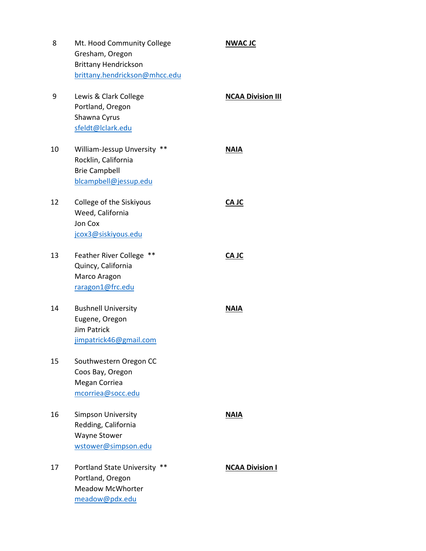| 8  | Mt. Hood Community College<br>Gresham, Oregon<br><b>Brittany Hendrickson</b><br>brittany.hendrickson@mhcc.edu | <b>NWAC JC</b>           |
|----|---------------------------------------------------------------------------------------------------------------|--------------------------|
| 9  | Lewis & Clark College<br>Portland, Oregon<br>Shawna Cyrus<br>sfeldt@lclark.edu                                | <b>NCAA Division III</b> |
| 10 | William-Jessup Unversity **<br>Rocklin, California<br><b>Brie Campbell</b><br>blcampbell@jessup.edu           | <b>NAIA</b>              |
| 12 | College of the Siskiyous<br>Weed, California<br>Jon Cox<br>jcox3@siskiyous.edu                                | CA JC                    |
| 13 | Feather River College **<br>Quincy, California<br>Marco Aragon<br>raragon1@frc.edu                            | CA JC                    |
| 14 | <b>Bushnell University</b><br>Eugene, Oregon<br><b>Jim Patrick</b><br>jimpatrick46@gmail.com                  | <b>NAIA</b>              |
| 15 | Southwestern Oregon CC<br>Coos Bay, Oregon<br>Megan Corriea<br>mcorriea@socc.edu                              |                          |
| 16 | <b>Simpson University</b><br>Redding, California<br><b>Wayne Stower</b><br>wstower@simpson.edu                | <b>NAIA</b>              |
| 17 | Portland State University **<br>Portland, Oregon<br><b>Meadow McWhorter</b><br>meadow@pdx.edu                 | <b>NCAA Division I</b>   |